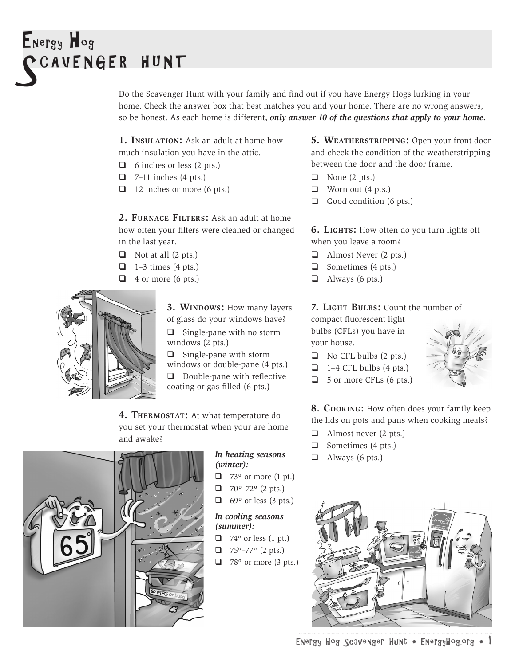# Energy Hog **CAVENGER HUNT**

Do the Scavenger Hunt with your family and find out if you have Energy Hogs lurking in your home. Check the answer box that best matches you and your home. There are no wrong answers, so be honest. As each home is different, *only answer 10 of the questions that apply to your home.*

**1. INSULATION:** Ask an adult at home how much insulation you have in the attic.

- $\Box$  6 inches or less (2 pts.)
- $\Box$  7–11 inches (4 pts.)
- $\Box$  12 inches or more (6 pts.)

2. FURNACE FILTERS: Ask an adult at home how often your filters were cleaned or changed in the last year.

- $\Box$  Not at all (2 pts.)
- $\Box$  1–3 times (4 pts.)
- $\Box$  4 or more (6 pts.)



**3. WINDOWS:** How many layers of glass do your windows have?  $\Box$  Single-pane with no storm windows (2 pts.)

 $\Box$  Single-pane with storm windows or double-pane (4 pts.)

 $\Box$  Double-pane with reflective coating or gas-filled (6 pts.)

**4. Thermostat:** At what temperature do you set your thermostat when your are home and awake?



#### *In heating seasons (winter):*

- $\Box$  73° or more (1 pt.)
- $\Box$  70°–72° (2 pts.)
- $\Box$  69° or less (3 pts.)

#### *In cooling seasons (summer):*

- $\Box$  74° or less (1 pt.)
- $\Box$  75°–77° (2 pts.)
- $\Box$  78° or more (3 pts.)

**5. Weatherstripping:** Open your front door and check the condition of the weatherstripping between the door and the door frame.

- $\Box$  None (2 pts.)
- $\Box$  Worn out (4 pts.)
- $\Box$  Good condition (6 pts.)

**6. Lights:** How often do you turn lights off when you leave a room?

- $\Box$  Almost Never (2 pts.)
- $\Box$  Sometimes (4 pts.)
- $\Box$  Always (6 pts.)

#### **7. Light Bulbs:** Count the number of

compact fluorescent light bulbs (CFLs) you have in your house.

- $\Box$  No CFL bulbs (2 pts.)
- $\Box$  1–4 CFL bulbs (4 pts.)
- $\Box$  5 or more CFLs (6 pts.)

**8. Cooking:** How often does your family keep the lids on pots and pans when cooking meals?

- $\Box$  Almost never (2 pts.)
- $\Box$  Sometimes (4 pts.)
- $\Box$  Always (6 pts.)